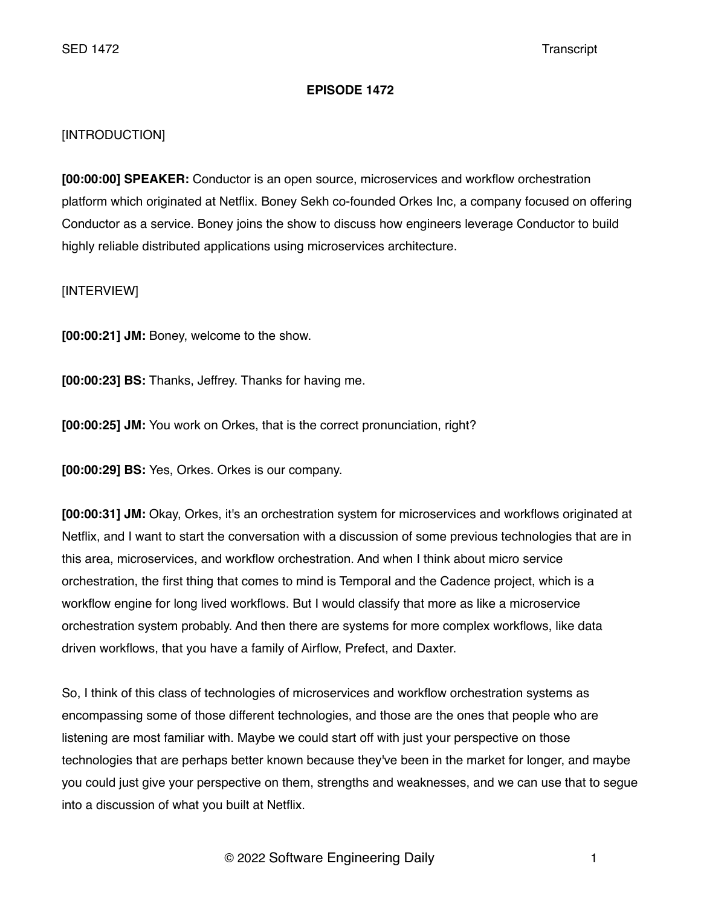# **EPISODE 1472**

# [INTRODUCTION]

**[00:00:00] SPEAKER:** Conductor is an open source, microservices and workflow orchestration platform which originated at Netflix. Boney Sekh co-founded Orkes Inc, a company focused on offering Conductor as a service. Boney joins the show to discuss how engineers leverage Conductor to build highly reliable distributed applications using microservices architecture.

[INTERVIEW]

**[00:00:21] JM:** Boney, welcome to the show.

**[00:00:23] BS:** Thanks, Jeffrey. Thanks for having me.

**[00:00:25] JM:** You work on Orkes, that is the correct pronunciation, right?

**[00:00:29] BS:** Yes, Orkes. Orkes is our company.

**[00:00:31] JM:** Okay, Orkes, it's an orchestration system for microservices and workflows originated at Netflix, and I want to start the conversation with a discussion of some previous technologies that are in this area, microservices, and workflow orchestration. And when I think about micro service orchestration, the first thing that comes to mind is Temporal and the Cadence project, which is a workflow engine for long lived workflows. But I would classify that more as like a microservice orchestration system probably. And then there are systems for more complex workflows, like data driven workflows, that you have a family of Airflow, Prefect, and Daxter.

So, I think of this class of technologies of microservices and workflow orchestration systems as encompassing some of those different technologies, and those are the ones that people who are listening are most familiar with. Maybe we could start off with just your perspective on those technologies that are perhaps better known because they've been in the market for longer, and maybe you could just give your perspective on them, strengths and weaknesses, and we can use that to segue into a discussion of what you built at Netflix.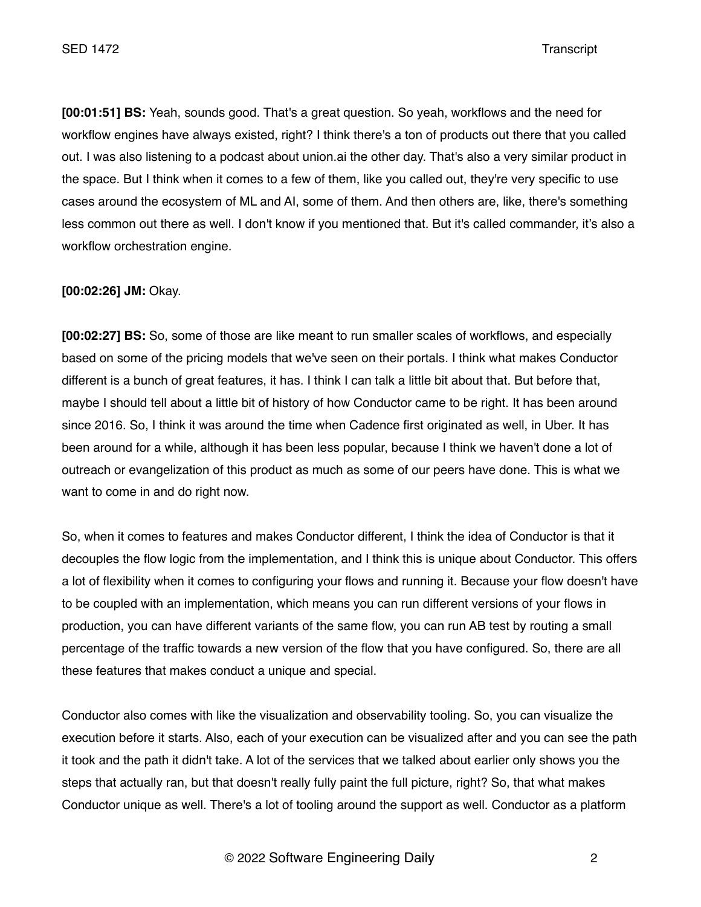**[00:01:51] BS:** Yeah, sounds good. That's a great question. So yeah, workflows and the need for workflow engines have always existed, right? I think there's a ton of products out there that you called out. I was also listening to a podcast about union.ai the other day. That's also a very similar product in the space. But I think when it comes to a few of them, like you called out, they're very specific to use cases around the ecosystem of ML and AI, some of them. And then others are, like, there's something less common out there as well. I don't know if you mentioned that. But it's called commander, it's also a workflow orchestration engine.

# **[00:02:26] JM:** Okay.

**[00:02:27] BS:** So, some of those are like meant to run smaller scales of workflows, and especially based on some of the pricing models that we've seen on their portals. I think what makes Conductor different is a bunch of great features, it has. I think I can talk a little bit about that. But before that, maybe I should tell about a little bit of history of how Conductor came to be right. It has been around since 2016. So, I think it was around the time when Cadence first originated as well, in Uber. It has been around for a while, although it has been less popular, because I think we haven't done a lot of outreach or evangelization of this product as much as some of our peers have done. This is what we want to come in and do right now.

So, when it comes to features and makes Conductor different, I think the idea of Conductor is that it decouples the flow logic from the implementation, and I think this is unique about Conductor. This offers a lot of flexibility when it comes to configuring your flows and running it. Because your flow doesn't have to be coupled with an implementation, which means you can run different versions of your flows in production, you can have different variants of the same flow, you can run AB test by routing a small percentage of the traffic towards a new version of the flow that you have configured. So, there are all these features that makes conduct a unique and special.

Conductor also comes with like the visualization and observability tooling. So, you can visualize the execution before it starts. Also, each of your execution can be visualized after and you can see the path it took and the path it didn't take. A lot of the services that we talked about earlier only shows you the steps that actually ran, but that doesn't really fully paint the full picture, right? So, that what makes Conductor unique as well. There's a lot of tooling around the support as well. Conductor as a platform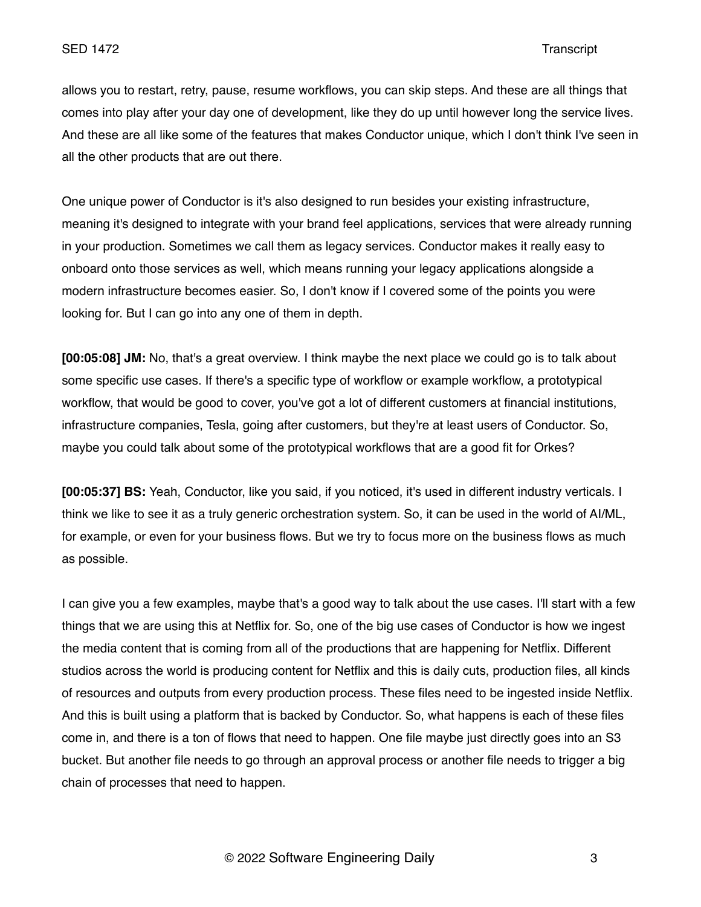allows you to restart, retry, pause, resume workflows, you can skip steps. And these are all things that comes into play after your day one of development, like they do up until however long the service lives. And these are all like some of the features that makes Conductor unique, which I don't think I've seen in all the other products that are out there.

One unique power of Conductor is it's also designed to run besides your existing infrastructure, meaning it's designed to integrate with your brand feel applications, services that were already running in your production. Sometimes we call them as legacy services. Conductor makes it really easy to onboard onto those services as well, which means running your legacy applications alongside a modern infrastructure becomes easier. So, I don't know if I covered some of the points you were looking for. But I can go into any one of them in depth.

**[00:05:08] JM:** No, that's a great overview. I think maybe the next place we could go is to talk about some specific use cases. If there's a specific type of workflow or example workflow, a prototypical workflow, that would be good to cover, you've got a lot of different customers at financial institutions, infrastructure companies, Tesla, going after customers, but they're at least users of Conductor. So, maybe you could talk about some of the prototypical workflows that are a good fit for Orkes?

**[00:05:37] BS:** Yeah, Conductor, like you said, if you noticed, it's used in different industry verticals. I think we like to see it as a truly generic orchestration system. So, it can be used in the world of AI/ML, for example, or even for your business flows. But we try to focus more on the business flows as much as possible.

I can give you a few examples, maybe that's a good way to talk about the use cases. I'll start with a few things that we are using this at Netflix for. So, one of the big use cases of Conductor is how we ingest the media content that is coming from all of the productions that are happening for Netflix. Different studios across the world is producing content for Netflix and this is daily cuts, production files, all kinds of resources and outputs from every production process. These files need to be ingested inside Netflix. And this is built using a platform that is backed by Conductor. So, what happens is each of these files come in, and there is a ton of flows that need to happen. One file maybe just directly goes into an S3 bucket. But another file needs to go through an approval process or another file needs to trigger a big chain of processes that need to happen.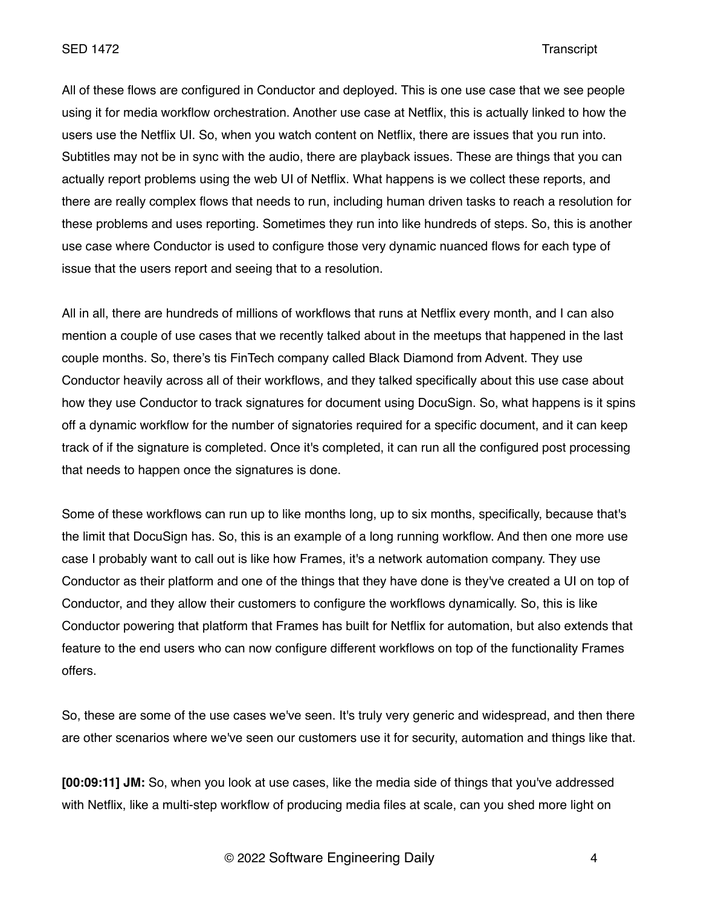All of these flows are configured in Conductor and deployed. This is one use case that we see people using it for media workflow orchestration. Another use case at Netflix, this is actually linked to how the users use the Netflix UI. So, when you watch content on Netflix, there are issues that you run into. Subtitles may not be in sync with the audio, there are playback issues. These are things that you can actually report problems using the web UI of Netflix. What happens is we collect these reports, and there are really complex flows that needs to run, including human driven tasks to reach a resolution for these problems and uses reporting. Sometimes they run into like hundreds of steps. So, this is another use case where Conductor is used to configure those very dynamic nuanced flows for each type of issue that the users report and seeing that to a resolution.

All in all, there are hundreds of millions of workflows that runs at Netflix every month, and I can also mention a couple of use cases that we recently talked about in the meetups that happened in the last couple months. So, there's tis FinTech company called Black Diamond from Advent. They use Conductor heavily across all of their workflows, and they talked specifically about this use case about how they use Conductor to track signatures for document using DocuSign. So, what happens is it spins off a dynamic workflow for the number of signatories required for a specific document, and it can keep track of if the signature is completed. Once it's completed, it can run all the configured post processing that needs to happen once the signatures is done.

Some of these workflows can run up to like months long, up to six months, specifically, because that's the limit that DocuSign has. So, this is an example of a long running workflow. And then one more use case I probably want to call out is like how Frames, it's a network automation company. They use Conductor as their platform and one of the things that they have done is they've created a UI on top of Conductor, and they allow their customers to configure the workflows dynamically. So, this is like Conductor powering that platform that Frames has built for Netflix for automation, but also extends that feature to the end users who can now configure different workflows on top of the functionality Frames offers.

So, these are some of the use cases we've seen. It's truly very generic and widespread, and then there are other scenarios where we've seen our customers use it for security, automation and things like that.

**[00:09:11] JM:** So, when you look at use cases, like the media side of things that you've addressed with Netflix, like a multi-step workflow of producing media files at scale, can you shed more light on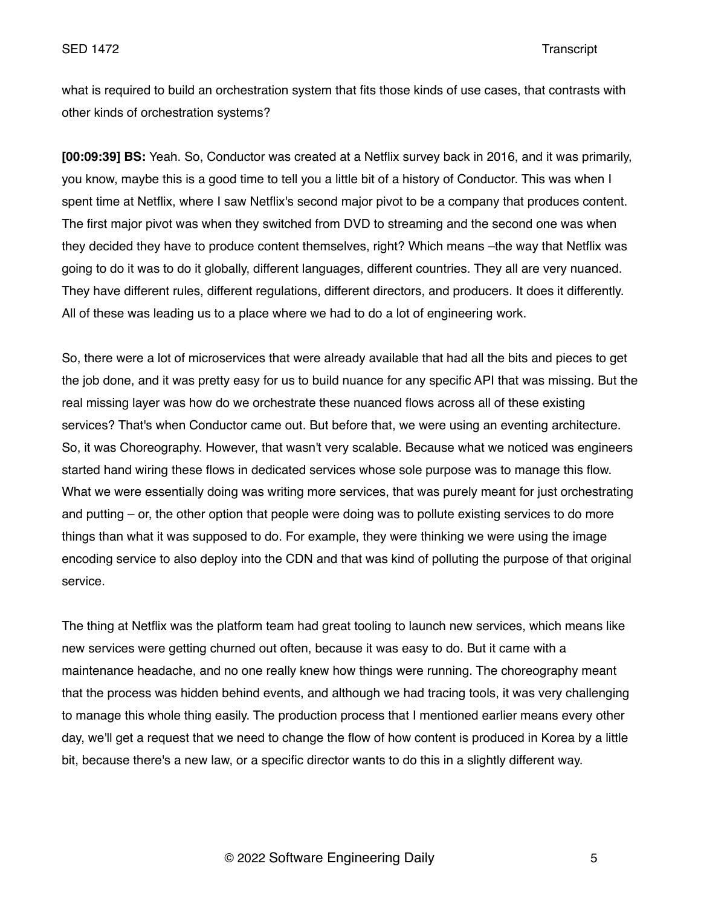what is required to build an orchestration system that fits those kinds of use cases, that contrasts with other kinds of orchestration systems?

**[00:09:39] BS:** Yeah. So, Conductor was created at a Netflix survey back in 2016, and it was primarily, you know, maybe this is a good time to tell you a little bit of a history of Conductor. This was when I spent time at Netflix, where I saw Netflix's second major pivot to be a company that produces content. The first major pivot was when they switched from DVD to streaming and the second one was when they decided they have to produce content themselves, right? Which means –the way that Netflix was going to do it was to do it globally, different languages, different countries. They all are very nuanced. They have different rules, different regulations, different directors, and producers. It does it differently. All of these was leading us to a place where we had to do a lot of engineering work.

So, there were a lot of microservices that were already available that had all the bits and pieces to get the job done, and it was pretty easy for us to build nuance for any specific API that was missing. But the real missing layer was how do we orchestrate these nuanced flows across all of these existing services? That's when Conductor came out. But before that, we were using an eventing architecture. So, it was Choreography. However, that wasn't very scalable. Because what we noticed was engineers started hand wiring these flows in dedicated services whose sole purpose was to manage this flow. What we were essentially doing was writing more services, that was purely meant for just orchestrating and putting – or, the other option that people were doing was to pollute existing services to do more things than what it was supposed to do. For example, they were thinking we were using the image encoding service to also deploy into the CDN and that was kind of polluting the purpose of that original service.

The thing at Netflix was the platform team had great tooling to launch new services, which means like new services were getting churned out often, because it was easy to do. But it came with a maintenance headache, and no one really knew how things were running. The choreography meant that the process was hidden behind events, and although we had tracing tools, it was very challenging to manage this whole thing easily. The production process that I mentioned earlier means every other day, we'll get a request that we need to change the flow of how content is produced in Korea by a little bit, because there's a new law, or a specific director wants to do this in a slightly different way.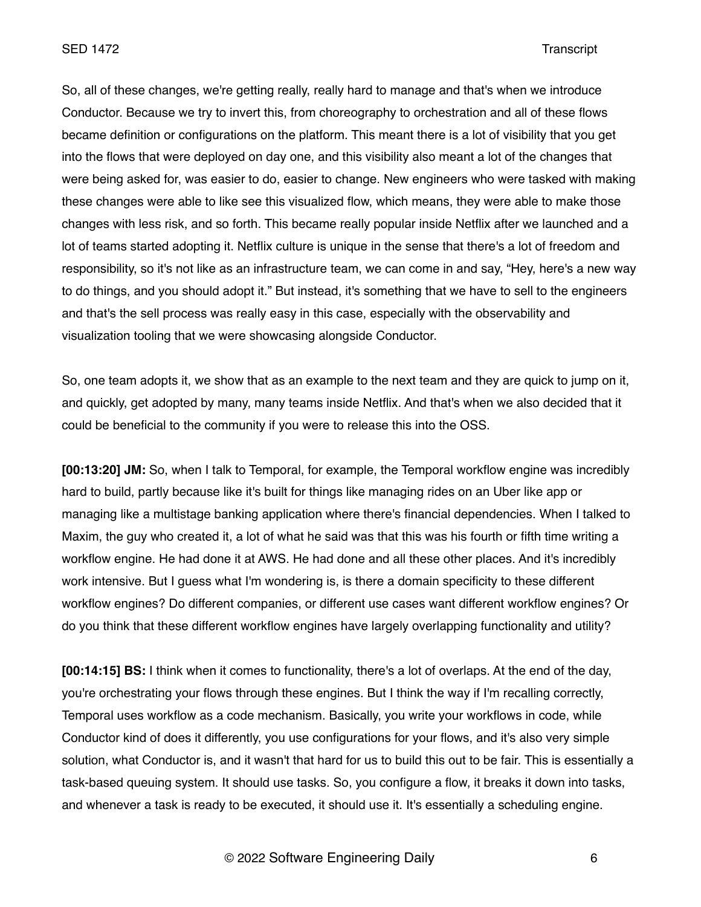### SED 1472 Transcript

So, all of these changes, we're getting really, really hard to manage and that's when we introduce Conductor. Because we try to invert this, from choreography to orchestration and all of these flows became definition or configurations on the platform. This meant there is a lot of visibility that you get into the flows that were deployed on day one, and this visibility also meant a lot of the changes that were being asked for, was easier to do, easier to change. New engineers who were tasked with making these changes were able to like see this visualized flow, which means, they were able to make those changes with less risk, and so forth. This became really popular inside Netflix after we launched and a lot of teams started adopting it. Netflix culture is unique in the sense that there's a lot of freedom and responsibility, so it's not like as an infrastructure team, we can come in and say, "Hey, here's a new way to do things, and you should adopt it." But instead, it's something that we have to sell to the engineers and that's the sell process was really easy in this case, especially with the observability and visualization tooling that we were showcasing alongside Conductor.

So, one team adopts it, we show that as an example to the next team and they are quick to jump on it, and quickly, get adopted by many, many teams inside Netflix. And that's when we also decided that it could be beneficial to the community if you were to release this into the OSS.

**[00:13:20] JM:** So, when I talk to Temporal, for example, the Temporal workflow engine was incredibly hard to build, partly because like it's built for things like managing rides on an Uber like app or managing like a multistage banking application where there's financial dependencies. When I talked to Maxim, the guy who created it, a lot of what he said was that this was his fourth or fifth time writing a workflow engine. He had done it at AWS. He had done and all these other places. And it's incredibly work intensive. But I guess what I'm wondering is, is there a domain specificity to these different workflow engines? Do different companies, or different use cases want different workflow engines? Or do you think that these different workflow engines have largely overlapping functionality and utility?

**[00:14:15] BS:** I think when it comes to functionality, there's a lot of overlaps. At the end of the day, you're orchestrating your flows through these engines. But I think the way if I'm recalling correctly, Temporal uses workflow as a code mechanism. Basically, you write your workflows in code, while Conductor kind of does it differently, you use configurations for your flows, and it's also very simple solution, what Conductor is, and it wasn't that hard for us to build this out to be fair. This is essentially a task-based queuing system. It should use tasks. So, you configure a flow, it breaks it down into tasks, and whenever a task is ready to be executed, it should use it. It's essentially a scheduling engine.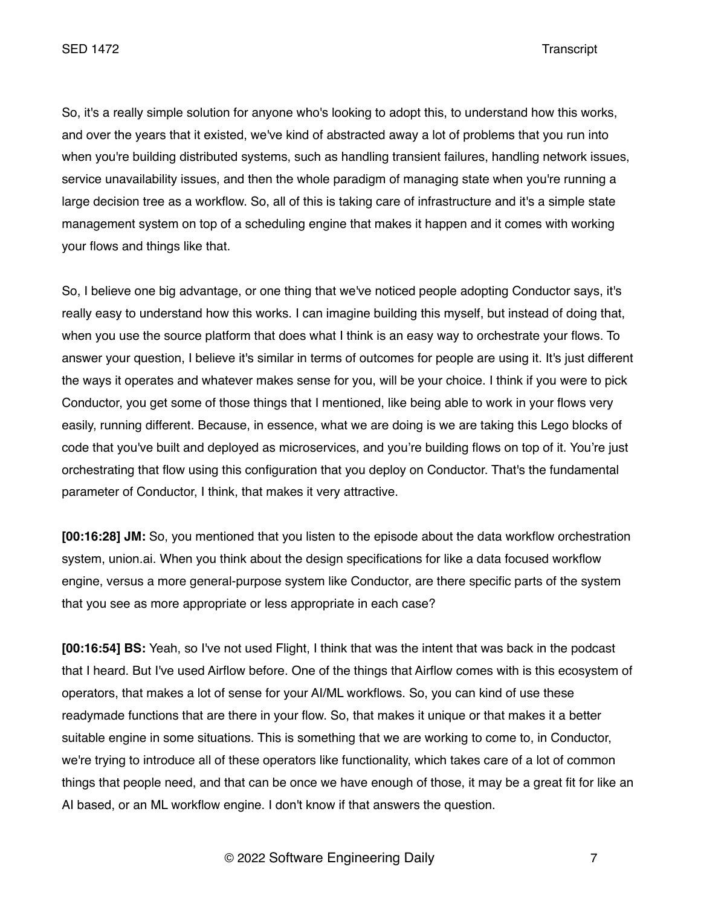So, it's a really simple solution for anyone who's looking to adopt this, to understand how this works, and over the years that it existed, we've kind of abstracted away a lot of problems that you run into when you're building distributed systems, such as handling transient failures, handling network issues, service unavailability issues, and then the whole paradigm of managing state when you're running a large decision tree as a workflow. So, all of this is taking care of infrastructure and it's a simple state management system on top of a scheduling engine that makes it happen and it comes with working your flows and things like that.

So, I believe one big advantage, or one thing that we've noticed people adopting Conductor says, it's really easy to understand how this works. I can imagine building this myself, but instead of doing that, when you use the source platform that does what I think is an easy way to orchestrate your flows. To answer your question, I believe it's similar in terms of outcomes for people are using it. It's just different the ways it operates and whatever makes sense for you, will be your choice. I think if you were to pick Conductor, you get some of those things that I mentioned, like being able to work in your flows very easily, running different. Because, in essence, what we are doing is we are taking this Lego blocks of code that you've built and deployed as microservices, and you're building flows on top of it. You're just orchestrating that flow using this configuration that you deploy on Conductor. That's the fundamental parameter of Conductor, I think, that makes it very attractive.

**[00:16:28] JM:** So, you mentioned that you listen to the episode about the data workflow orchestration system, union.ai. When you think about the design specifications for like a data focused workflow engine, versus a more general-purpose system like Conductor, are there specific parts of the system that you see as more appropriate or less appropriate in each case?

**[00:16:54] BS:** Yeah, so I've not used Flight, I think that was the intent that was back in the podcast that I heard. But I've used Airflow before. One of the things that Airflow comes with is this ecosystem of operators, that makes a lot of sense for your AI/ML workflows. So, you can kind of use these readymade functions that are there in your flow. So, that makes it unique or that makes it a better suitable engine in some situations. This is something that we are working to come to, in Conductor, we're trying to introduce all of these operators like functionality, which takes care of a lot of common things that people need, and that can be once we have enough of those, it may be a great fit for like an AI based, or an ML workflow engine. I don't know if that answers the question.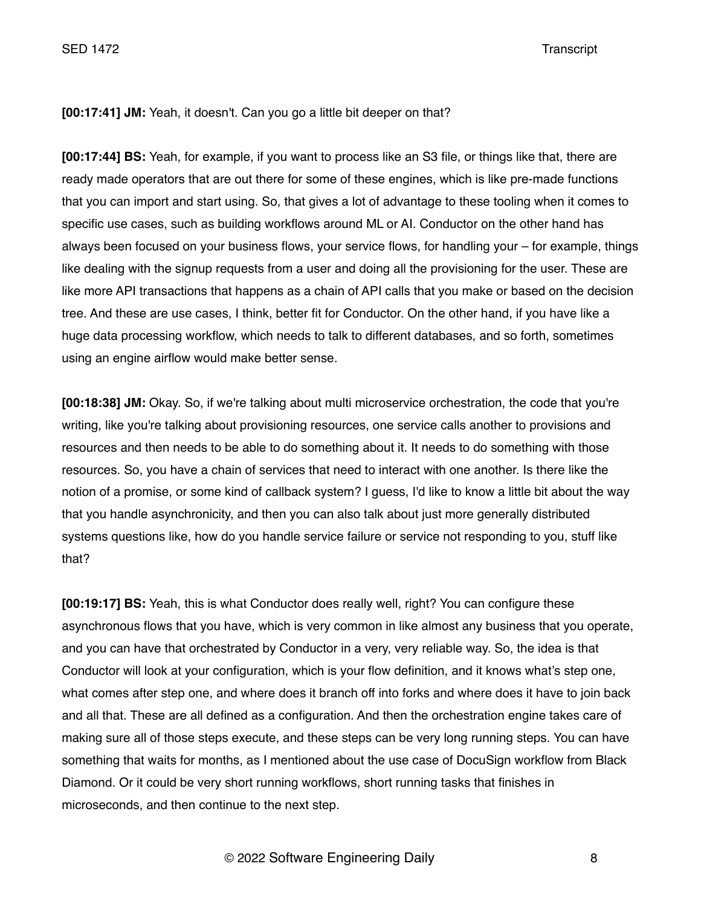**[00:17:41] JM:** Yeah, it doesn't. Can you go a little bit deeper on that?

**[00:17:44] BS:** Yeah, for example, if you want to process like an S3 file, or things like that, there are ready made operators that are out there for some of these engines, which is like pre-made functions that you can import and start using. So, that gives a lot of advantage to these tooling when it comes to specific use cases, such as building workflows around ML or AI. Conductor on the other hand has always been focused on your business flows, your service flows, for handling your – for example, things like dealing with the signup requests from a user and doing all the provisioning for the user. These are like more API transactions that happens as a chain of API calls that you make or based on the decision tree. And these are use cases, I think, better fit for Conductor. On the other hand, if you have like a huge data processing workflow, which needs to talk to different databases, and so forth, sometimes using an engine airflow would make better sense.

**[00:18:38] JM:** Okay. So, if we're talking about multi microservice orchestration, the code that you're writing, like you're talking about provisioning resources, one service calls another to provisions and resources and then needs to be able to do something about it. It needs to do something with those resources. So, you have a chain of services that need to interact with one another. Is there like the notion of a promise, or some kind of callback system? I guess, I'd like to know a little bit about the way that you handle asynchronicity, and then you can also talk about just more generally distributed systems questions like, how do you handle service failure or service not responding to you, stuff like that?

**[00:19:17] BS:** Yeah, this is what Conductor does really well, right? You can configure these asynchronous flows that you have, which is very common in like almost any business that you operate, and you can have that orchestrated by Conductor in a very, very reliable way. So, the idea is that Conductor will look at your configuration, which is your flow definition, and it knows what's step one, what comes after step one, and where does it branch off into forks and where does it have to join back and all that. These are all defined as a configuration. And then the orchestration engine takes care of making sure all of those steps execute, and these steps can be very long running steps. You can have something that waits for months, as I mentioned about the use case of DocuSign workflow from Black Diamond. Or it could be very short running workflows, short running tasks that finishes in microseconds, and then continue to the next step.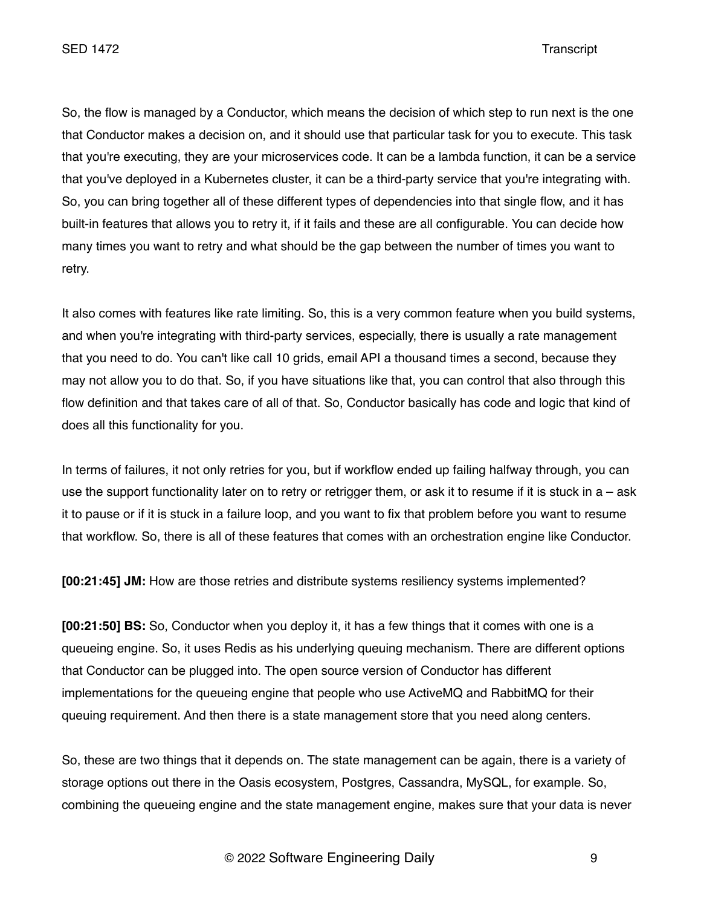So, the flow is managed by a Conductor, which means the decision of which step to run next is the one that Conductor makes a decision on, and it should use that particular task for you to execute. This task that you're executing, they are your microservices code. It can be a lambda function, it can be a service that you've deployed in a Kubernetes cluster, it can be a third-party service that you're integrating with. So, you can bring together all of these different types of dependencies into that single flow, and it has built-in features that allows you to retry it, if it fails and these are all configurable. You can decide how many times you want to retry and what should be the gap between the number of times you want to retry.

It also comes with features like rate limiting. So, this is a very common feature when you build systems, and when you're integrating with third-party services, especially, there is usually a rate management that you need to do. You can't like call 10 grids, email API a thousand times a second, because they may not allow you to do that. So, if you have situations like that, you can control that also through this flow definition and that takes care of all of that. So, Conductor basically has code and logic that kind of does all this functionality for you.

In terms of failures, it not only retries for you, but if workflow ended up failing halfway through, you can use the support functionality later on to retry or retrigger them, or ask it to resume if it is stuck in  $a - ask$ it to pause or if it is stuck in a failure loop, and you want to fix that problem before you want to resume that workflow. So, there is all of these features that comes with an orchestration engine like Conductor.

**[00:21:45] JM:** How are those retries and distribute systems resiliency systems implemented?

**[00:21:50] BS:** So, Conductor when you deploy it, it has a few things that it comes with one is a queueing engine. So, it uses Redis as his underlying queuing mechanism. There are different options that Conductor can be plugged into. The open source version of Conductor has different implementations for the queueing engine that people who use ActiveMQ and RabbitMQ for their queuing requirement. And then there is a state management store that you need along centers.

So, these are two things that it depends on. The state management can be again, there is a variety of storage options out there in the Oasis ecosystem, Postgres, Cassandra, MySQL, for example. So, combining the queueing engine and the state management engine, makes sure that your data is never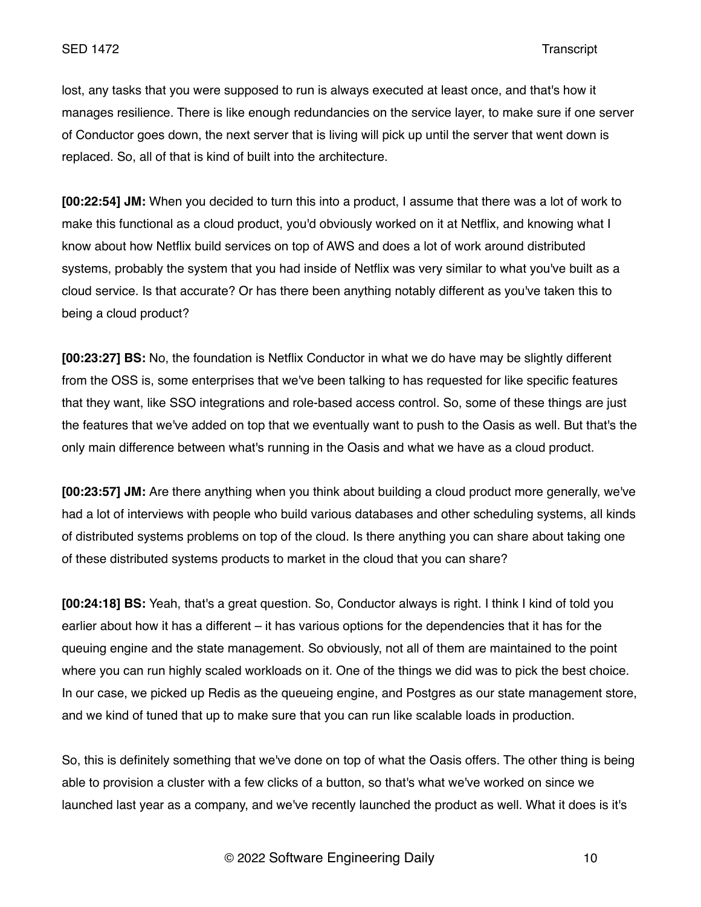lost, any tasks that you were supposed to run is always executed at least once, and that's how it manages resilience. There is like enough redundancies on the service layer, to make sure if one server of Conductor goes down, the next server that is living will pick up until the server that went down is replaced. So, all of that is kind of built into the architecture.

**[00:22:54] JM:** When you decided to turn this into a product, I assume that there was a lot of work to make this functional as a cloud product, you'd obviously worked on it at Netflix, and knowing what I know about how Netflix build services on top of AWS and does a lot of work around distributed systems, probably the system that you had inside of Netflix was very similar to what you've built as a cloud service. Is that accurate? Or has there been anything notably different as you've taken this to being a cloud product?

**[00:23:27] BS:** No, the foundation is Netflix Conductor in what we do have may be slightly different from the OSS is, some enterprises that we've been talking to has requested for like specific features that they want, like SSO integrations and role-based access control. So, some of these things are just the features that we've added on top that we eventually want to push to the Oasis as well. But that's the only main difference between what's running in the Oasis and what we have as a cloud product.

**[00:23:57] JM:** Are there anything when you think about building a cloud product more generally, we've had a lot of interviews with people who build various databases and other scheduling systems, all kinds of distributed systems problems on top of the cloud. Is there anything you can share about taking one of these distributed systems products to market in the cloud that you can share?

**[00:24:18] BS:** Yeah, that's a great question. So, Conductor always is right. I think I kind of told you earlier about how it has a different – it has various options for the dependencies that it has for the queuing engine and the state management. So obviously, not all of them are maintained to the point where you can run highly scaled workloads on it. One of the things we did was to pick the best choice. In our case, we picked up Redis as the queueing engine, and Postgres as our state management store, and we kind of tuned that up to make sure that you can run like scalable loads in production.

So, this is definitely something that we've done on top of what the Oasis offers. The other thing is being able to provision a cluster with a few clicks of a button, so that's what we've worked on since we launched last year as a company, and we've recently launched the product as well. What it does is it's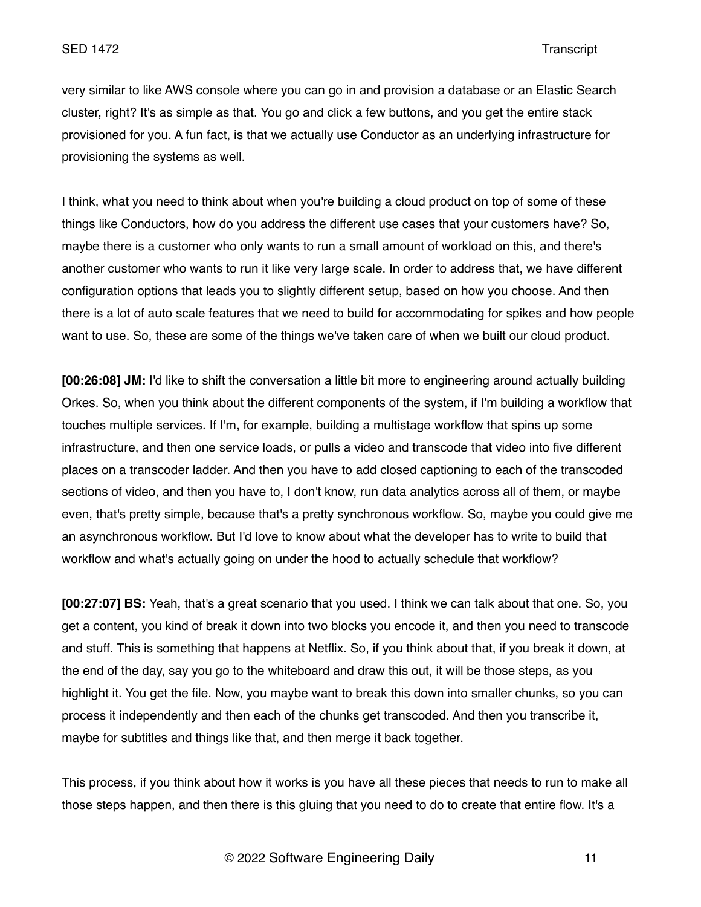very similar to like AWS console where you can go in and provision a database or an Elastic Search cluster, right? It's as simple as that. You go and click a few buttons, and you get the entire stack provisioned for you. A fun fact, is that we actually use Conductor as an underlying infrastructure for provisioning the systems as well.

I think, what you need to think about when you're building a cloud product on top of some of these things like Conductors, how do you address the different use cases that your customers have? So, maybe there is a customer who only wants to run a small amount of workload on this, and there's another customer who wants to run it like very large scale. In order to address that, we have different configuration options that leads you to slightly different setup, based on how you choose. And then there is a lot of auto scale features that we need to build for accommodating for spikes and how people want to use. So, these are some of the things we've taken care of when we built our cloud product.

**[00:26:08] JM:** I'd like to shift the conversation a little bit more to engineering around actually building Orkes. So, when you think about the different components of the system, if I'm building a workflow that touches multiple services. If I'm, for example, building a multistage workflow that spins up some infrastructure, and then one service loads, or pulls a video and transcode that video into five different places on a transcoder ladder. And then you have to add closed captioning to each of the transcoded sections of video, and then you have to, I don't know, run data analytics across all of them, or maybe even, that's pretty simple, because that's a pretty synchronous workflow. So, maybe you could give me an asynchronous workflow. But I'd love to know about what the developer has to write to build that workflow and what's actually going on under the hood to actually schedule that workflow?

**[00:27:07] BS:** Yeah, that's a great scenario that you used. I think we can talk about that one. So, you get a content, you kind of break it down into two blocks you encode it, and then you need to transcode and stuff. This is something that happens at Netflix. So, if you think about that, if you break it down, at the end of the day, say you go to the whiteboard and draw this out, it will be those steps, as you highlight it. You get the file. Now, you maybe want to break this down into smaller chunks, so you can process it independently and then each of the chunks get transcoded. And then you transcribe it, maybe for subtitles and things like that, and then merge it back together.

This process, if you think about how it works is you have all these pieces that needs to run to make all those steps happen, and then there is this gluing that you need to do to create that entire flow. It's a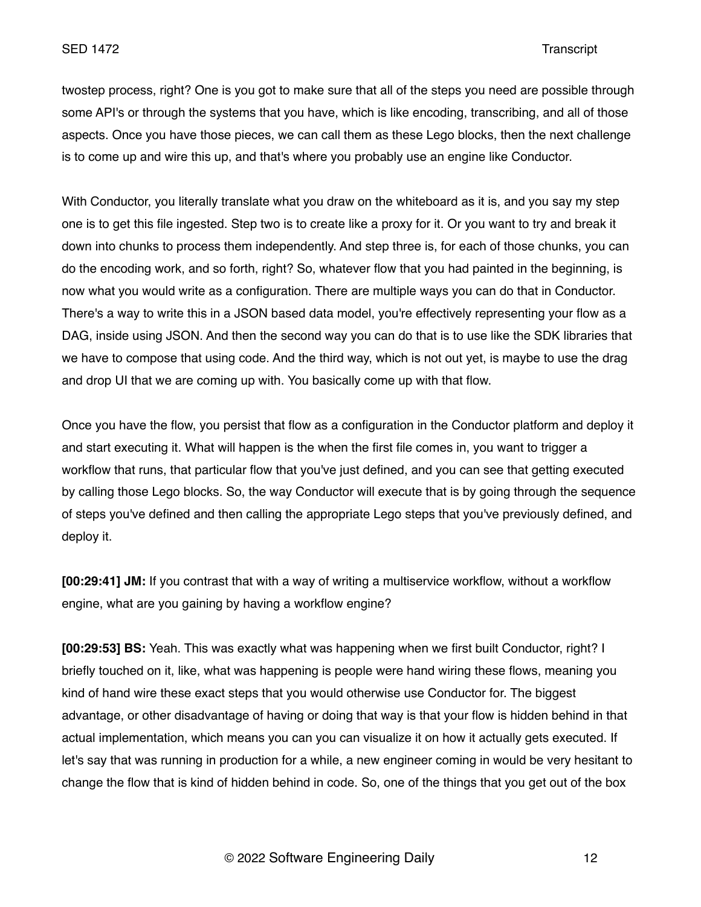twostep process, right? One is you got to make sure that all of the steps you need are possible through some API's or through the systems that you have, which is like encoding, transcribing, and all of those aspects. Once you have those pieces, we can call them as these Lego blocks, then the next challenge is to come up and wire this up, and that's where you probably use an engine like Conductor.

With Conductor, you literally translate what you draw on the whiteboard as it is, and you say my step one is to get this file ingested. Step two is to create like a proxy for it. Or you want to try and break it down into chunks to process them independently. And step three is, for each of those chunks, you can do the encoding work, and so forth, right? So, whatever flow that you had painted in the beginning, is now what you would write as a configuration. There are multiple ways you can do that in Conductor. There's a way to write this in a JSON based data model, you're effectively representing your flow as a DAG, inside using JSON. And then the second way you can do that is to use like the SDK libraries that we have to compose that using code. And the third way, which is not out yet, is maybe to use the drag and drop UI that we are coming up with. You basically come up with that flow.

Once you have the flow, you persist that flow as a configuration in the Conductor platform and deploy it and start executing it. What will happen is the when the first file comes in, you want to trigger a workflow that runs, that particular flow that you've just defined, and you can see that getting executed by calling those Lego blocks. So, the way Conductor will execute that is by going through the sequence of steps you've defined and then calling the appropriate Lego steps that you've previously defined, and deploy it.

**[00:29:41] JM:** If you contrast that with a way of writing a multiservice workflow, without a workflow engine, what are you gaining by having a workflow engine?

**[00:29:53] BS:** Yeah. This was exactly what was happening when we first built Conductor, right? I briefly touched on it, like, what was happening is people were hand wiring these flows, meaning you kind of hand wire these exact steps that you would otherwise use Conductor for. The biggest advantage, or other disadvantage of having or doing that way is that your flow is hidden behind in that actual implementation, which means you can you can visualize it on how it actually gets executed. If let's say that was running in production for a while, a new engineer coming in would be very hesitant to change the flow that is kind of hidden behind in code. So, one of the things that you get out of the box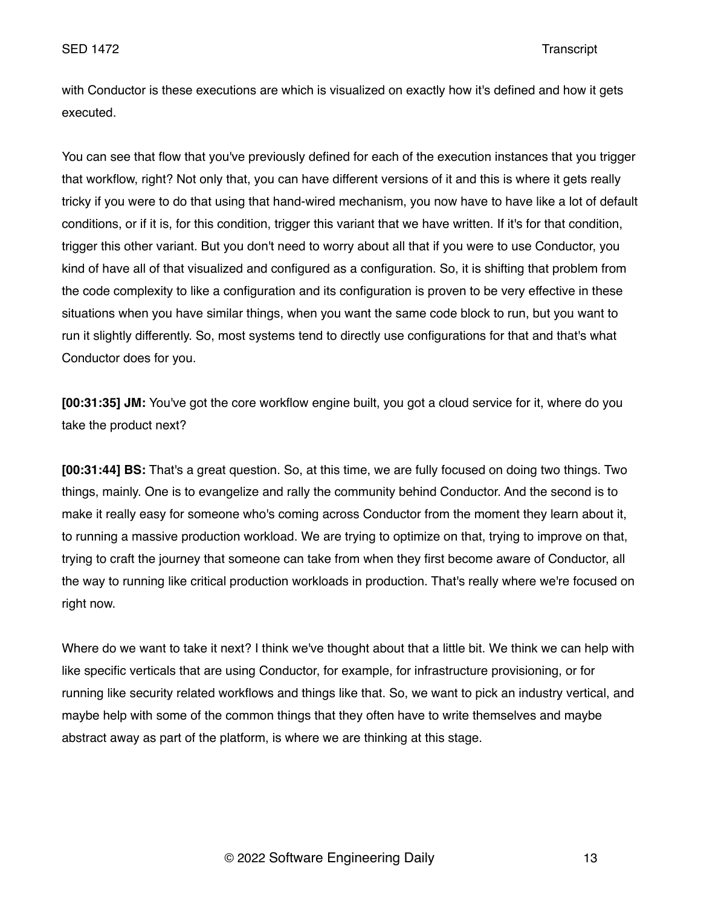with Conductor is these executions are which is visualized on exactly how it's defined and how it gets executed.

You can see that flow that you've previously defined for each of the execution instances that you trigger that workflow, right? Not only that, you can have different versions of it and this is where it gets really tricky if you were to do that using that hand-wired mechanism, you now have to have like a lot of default conditions, or if it is, for this condition, trigger this variant that we have written. If it's for that condition, trigger this other variant. But you don't need to worry about all that if you were to use Conductor, you kind of have all of that visualized and configured as a configuration. So, it is shifting that problem from the code complexity to like a configuration and its configuration is proven to be very effective in these situations when you have similar things, when you want the same code block to run, but you want to run it slightly differently. So, most systems tend to directly use configurations for that and that's what Conductor does for you.

**[00:31:35] JM:** You've got the core workflow engine built, you got a cloud service for it, where do you take the product next?

**[00:31:44] BS:** That's a great question. So, at this time, we are fully focused on doing two things. Two things, mainly. One is to evangelize and rally the community behind Conductor. And the second is to make it really easy for someone who's coming across Conductor from the moment they learn about it, to running a massive production workload. We are trying to optimize on that, trying to improve on that, trying to craft the journey that someone can take from when they first become aware of Conductor, all the way to running like critical production workloads in production. That's really where we're focused on right now.

Where do we want to take it next? I think we've thought about that a little bit. We think we can help with like specific verticals that are using Conductor, for example, for infrastructure provisioning, or for running like security related workflows and things like that. So, we want to pick an industry vertical, and maybe help with some of the common things that they often have to write themselves and maybe abstract away as part of the platform, is where we are thinking at this stage.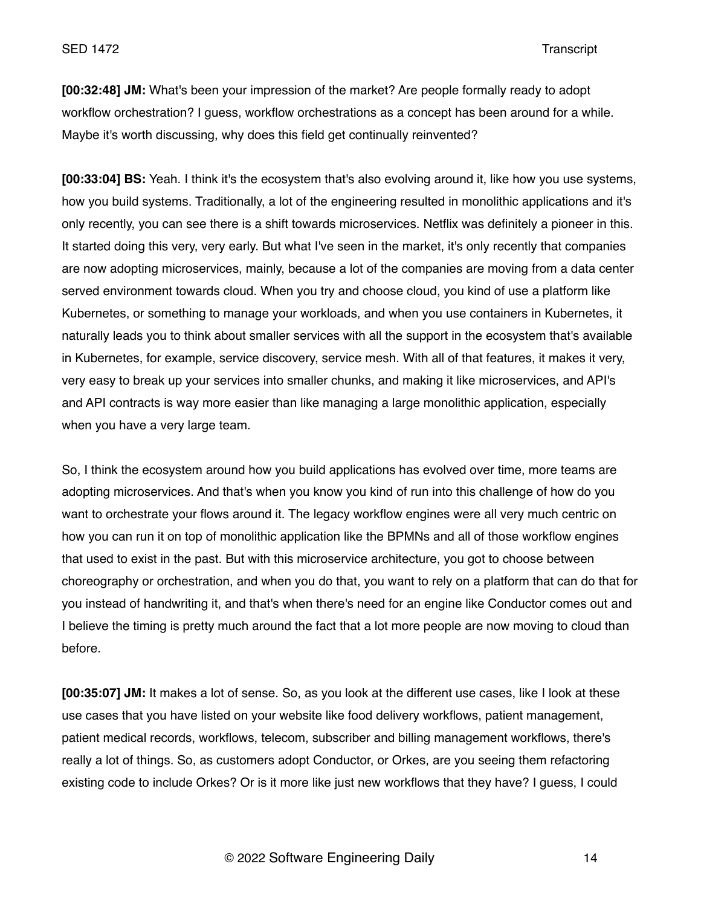**[00:32:48] JM:** What's been your impression of the market? Are people formally ready to adopt workflow orchestration? I guess, workflow orchestrations as a concept has been around for a while. Maybe it's worth discussing, why does this field get continually reinvented?

**[00:33:04] BS:** Yeah. I think it's the ecosystem that's also evolving around it, like how you use systems, how you build systems. Traditionally, a lot of the engineering resulted in monolithic applications and it's only recently, you can see there is a shift towards microservices. Netflix was definitely a pioneer in this. It started doing this very, very early. But what I've seen in the market, it's only recently that companies are now adopting microservices, mainly, because a lot of the companies are moving from a data center served environment towards cloud. When you try and choose cloud, you kind of use a platform like Kubernetes, or something to manage your workloads, and when you use containers in Kubernetes, it naturally leads you to think about smaller services with all the support in the ecosystem that's available in Kubernetes, for example, service discovery, service mesh. With all of that features, it makes it very, very easy to break up your services into smaller chunks, and making it like microservices, and API's and API contracts is way more easier than like managing a large monolithic application, especially when you have a very large team.

So, I think the ecosystem around how you build applications has evolved over time, more teams are adopting microservices. And that's when you know you kind of run into this challenge of how do you want to orchestrate your flows around it. The legacy workflow engines were all very much centric on how you can run it on top of monolithic application like the BPMNs and all of those workflow engines that used to exist in the past. But with this microservice architecture, you got to choose between choreography or orchestration, and when you do that, you want to rely on a platform that can do that for you instead of handwriting it, and that's when there's need for an engine like Conductor comes out and I believe the timing is pretty much around the fact that a lot more people are now moving to cloud than before.

**[00:35:07] JM:** It makes a lot of sense. So, as you look at the different use cases, like I look at these use cases that you have listed on your website like food delivery workflows, patient management, patient medical records, workflows, telecom, subscriber and billing management workflows, there's really a lot of things. So, as customers adopt Conductor, or Orkes, are you seeing them refactoring existing code to include Orkes? Or is it more like just new workflows that they have? I guess, I could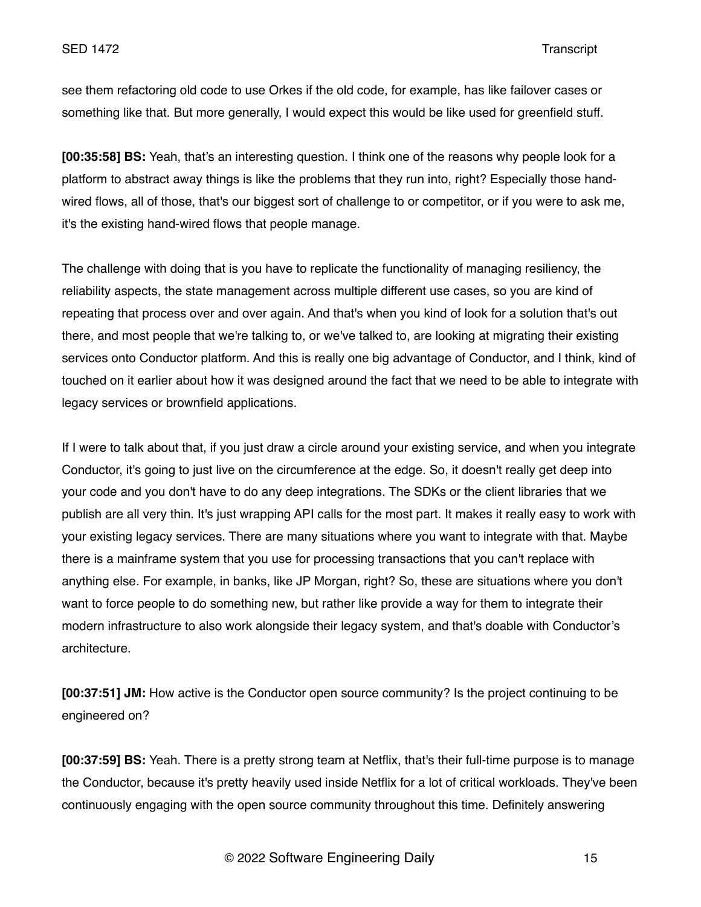see them refactoring old code to use Orkes if the old code, for example, has like failover cases or something like that. But more generally, I would expect this would be like used for greenfield stuff.

**[00:35:58] BS:** Yeah, that's an interesting question. I think one of the reasons why people look for a platform to abstract away things is like the problems that they run into, right? Especially those handwired flows, all of those, that's our biggest sort of challenge to or competitor, or if you were to ask me, it's the existing hand-wired flows that people manage.

The challenge with doing that is you have to replicate the functionality of managing resiliency, the reliability aspects, the state management across multiple different use cases, so you are kind of repeating that process over and over again. And that's when you kind of look for a solution that's out there, and most people that we're talking to, or we've talked to, are looking at migrating their existing services onto Conductor platform. And this is really one big advantage of Conductor, and I think, kind of touched on it earlier about how it was designed around the fact that we need to be able to integrate with legacy services or brownfield applications.

If I were to talk about that, if you just draw a circle around your existing service, and when you integrate Conductor, it's going to just live on the circumference at the edge. So, it doesn't really get deep into your code and you don't have to do any deep integrations. The SDKs or the client libraries that we publish are all very thin. It's just wrapping API calls for the most part. It makes it really easy to work with your existing legacy services. There are many situations where you want to integrate with that. Maybe there is a mainframe system that you use for processing transactions that you can't replace with anything else. For example, in banks, like JP Morgan, right? So, these are situations where you don't want to force people to do something new, but rather like provide a way for them to integrate their modern infrastructure to also work alongside their legacy system, and that's doable with Conductor's architecture.

**[00:37:51] JM:** How active is the Conductor open source community? Is the project continuing to be engineered on?

**[00:37:59] BS:** Yeah. There is a pretty strong team at Netflix, that's their full-time purpose is to manage the Conductor, because it's pretty heavily used inside Netflix for a lot of critical workloads. They've been continuously engaging with the open source community throughout this time. Definitely answering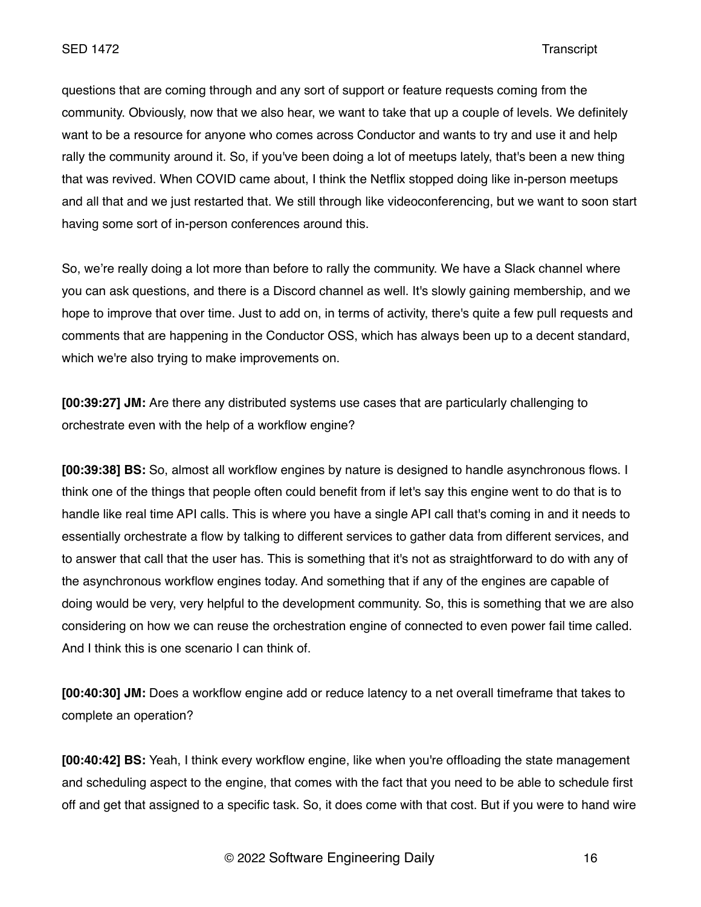questions that are coming through and any sort of support or feature requests coming from the community. Obviously, now that we also hear, we want to take that up a couple of levels. We definitely want to be a resource for anyone who comes across Conductor and wants to try and use it and help rally the community around it. So, if you've been doing a lot of meetups lately, that's been a new thing that was revived. When COVID came about, I think the Netflix stopped doing like in-person meetups and all that and we just restarted that. We still through like videoconferencing, but we want to soon start having some sort of in-person conferences around this.

So, we're really doing a lot more than before to rally the community. We have a Slack channel where you can ask questions, and there is a Discord channel as well. It's slowly gaining membership, and we hope to improve that over time. Just to add on, in terms of activity, there's quite a few pull requests and comments that are happening in the Conductor OSS, which has always been up to a decent standard, which we're also trying to make improvements on.

**[00:39:27] JM:** Are there any distributed systems use cases that are particularly challenging to orchestrate even with the help of a workflow engine?

**[00:39:38] BS:** So, almost all workflow engines by nature is designed to handle asynchronous flows. I think one of the things that people often could benefit from if let's say this engine went to do that is to handle like real time API calls. This is where you have a single API call that's coming in and it needs to essentially orchestrate a flow by talking to different services to gather data from different services, and to answer that call that the user has. This is something that it's not as straightforward to do with any of the asynchronous workflow engines today. And something that if any of the engines are capable of doing would be very, very helpful to the development community. So, this is something that we are also considering on how we can reuse the orchestration engine of connected to even power fail time called. And I think this is one scenario I can think of.

**[00:40:30] JM:** Does a workflow engine add or reduce latency to a net overall timeframe that takes to complete an operation?

**[00:40:42] BS:** Yeah, I think every workflow engine, like when you're offloading the state management and scheduling aspect to the engine, that comes with the fact that you need to be able to schedule first off and get that assigned to a specific task. So, it does come with that cost. But if you were to hand wire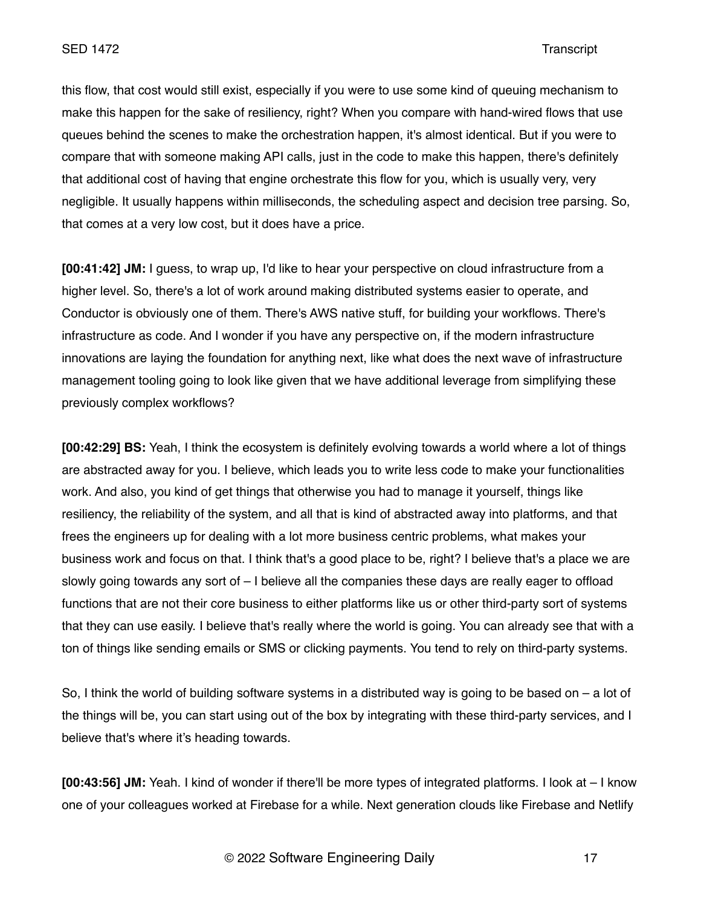this flow, that cost would still exist, especially if you were to use some kind of queuing mechanism to make this happen for the sake of resiliency, right? When you compare with hand-wired flows that use queues behind the scenes to make the orchestration happen, it's almost identical. But if you were to compare that with someone making API calls, just in the code to make this happen, there's definitely that additional cost of having that engine orchestrate this flow for you, which is usually very, very negligible. It usually happens within milliseconds, the scheduling aspect and decision tree parsing. So, that comes at a very low cost, but it does have a price.

**[00:41:42] JM:** I guess, to wrap up, I'd like to hear your perspective on cloud infrastructure from a higher level. So, there's a lot of work around making distributed systems easier to operate, and Conductor is obviously one of them. There's AWS native stuff, for building your workflows. There's infrastructure as code. And I wonder if you have any perspective on, if the modern infrastructure innovations are laying the foundation for anything next, like what does the next wave of infrastructure management tooling going to look like given that we have additional leverage from simplifying these previously complex workflows?

**[00:42:29] BS:** Yeah, I think the ecosystem is definitely evolving towards a world where a lot of things are abstracted away for you. I believe, which leads you to write less code to make your functionalities work. And also, you kind of get things that otherwise you had to manage it yourself, things like resiliency, the reliability of the system, and all that is kind of abstracted away into platforms, and that frees the engineers up for dealing with a lot more business centric problems, what makes your business work and focus on that. I think that's a good place to be, right? I believe that's a place we are slowly going towards any sort of – I believe all the companies these days are really eager to offload functions that are not their core business to either platforms like us or other third-party sort of systems that they can use easily. I believe that's really where the world is going. You can already see that with a ton of things like sending emails or SMS or clicking payments. You tend to rely on third-party systems.

So, I think the world of building software systems in a distributed way is going to be based on – a lot of the things will be, you can start using out of the box by integrating with these third-party services, and I believe that's where it's heading towards.

**[00:43:56] JM:** Yeah. I kind of wonder if there'll be more types of integrated platforms. I look at – I know one of your colleagues worked at Firebase for a while. Next generation clouds like Firebase and Netlify